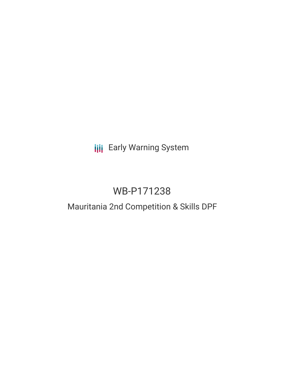# **III** Early Warning System

# WB-P171238

# Mauritania 2nd Competition & Skills DPF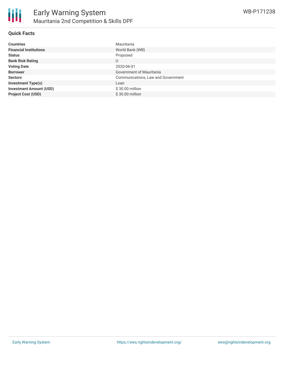

### **Quick Facts**

| <b>Countries</b>               | Mauritania                         |
|--------------------------------|------------------------------------|
| <b>Financial Institutions</b>  | World Bank (WB)                    |
| <b>Status</b>                  | Proposed                           |
| <b>Bank Risk Rating</b>        | U                                  |
| <b>Voting Date</b>             | 2020-06-01                         |
| <b>Borrower</b>                | Government of Mauritania           |
| <b>Sectors</b>                 | Communications, Law and Government |
| <b>Investment Type(s)</b>      | Loan                               |
| <b>Investment Amount (USD)</b> | \$30.00 million                    |
| <b>Project Cost (USD)</b>      | \$30.00 million                    |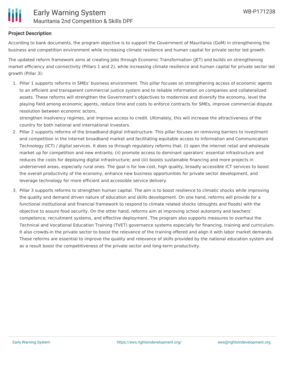# **Project Description**

According to bank documents, the program objective is to support the Government of Mauritania (GoM) in strengthening the business and competition environment while increasing climate resilience and human capital for private sector led growth.

The updated reform framework aims at creating Jobs through Economic Transformation (JET) and builds on strengthening market efficiency and connectivity (Pillars 1 and 2), while increasing climate resilience and human capital for private sector led growth (Pillar 3):

1. Pillar 1 supports reforms in SMEs' business environment. This pillar focuses on strengthening access of economic agents to an efficient and transparent commercial justice system and to reliable information on companies and collateralized assets. These reforms will strengthen the Government's objectives to modernize and diversify the economy, level the playing field among economic agents, reduce time and costs to enforce contracts for SMEs, improve commercial dispute resolution between economic actors,

strengthen insolvency regimes, and improve access to credit. Ultimately, this will increase the attractiveness of the country for both national and international investors.

- 2. Pillar 2 supports reforms of the broadband digital infrastructure. This pillar focuses on removing barriers to investment and competition in the internet broadband market and facilitating equitable access to Information and Communication Technology (ICT) / digital services. It does so through regulatory reforms that: (i) open the internet retail and wholesale market up for competition and new entrants; (ii) promote access to dominant operators' essential infrastructure and reduces the costs for deploying digital infrastructure; and (iii) boosts sustainable financing and more projects in underserved areas, especially rural ones. The goal is for low-cost, high quality, broadly accessible ICT services to boost the overall productivity of the economy, enhance new business opportunities for private sector development, and leverage technology for more efficient and accessible service delivery.
- 3. Pillar 3 supports reforms to strengthen human capital. The aim is to boost resilience to climatic shocks while improving the quality and demand driven nature of education and skills development. On one hand, reforms will provide for a functional institutional and financial framework to respond to climate related shocks (droughts and floods) with the objective to assure food security. On the other hand, reforms aim at improving school autonomy and teachers' competence, recruitment systems, and effective deployment. The program also supports measures to overhaul the Technical and Vocational Education Training (TVET) governance systems especially for financing, training and curriculum. It also crowds-in the private sector to boost the relevance of the training offered and align it with labor market demands. These reforms are essential to improve the quality and relevance of skills provided by the national education system and as a result boost the competitiveness of the private sector and long-term productivity.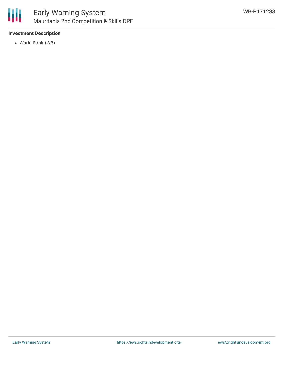

## **Investment Description**

World Bank (WB)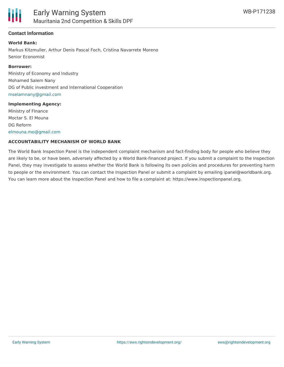

### **Contact Information**

#### **World Bank:**

Markus Kitzmuller, Arthur Denis Pascal Foch, Cristina Navarrete Moreno Senior Economist

#### **Borrower:**

Ministry of Economy and Industry Mohamed Salem Nany DG of Public investment and International Cooperation [mselamnany@gmail.com](mailto:mselamnany@gmail.com)

#### **Implementing Agency:**

Ministry of FInance Moctar S. El Mouna DG Reform [elmouna.mo@gmail.com](mailto:elmouna.mo@gmail.com)

#### **ACCOUNTABILITY MECHANISM OF WORLD BANK**

The World Bank Inspection Panel is the independent complaint mechanism and fact-finding body for people who believe they are likely to be, or have been, adversely affected by a World Bank-financed project. If you submit a complaint to the Inspection Panel, they may investigate to assess whether the World Bank is following its own policies and procedures for preventing harm to people or the environment. You can contact the Inspection Panel or submit a complaint by emailing ipanel@worldbank.org. You can learn more about the Inspection Panel and how to file a complaint at: https://www.inspectionpanel.org.